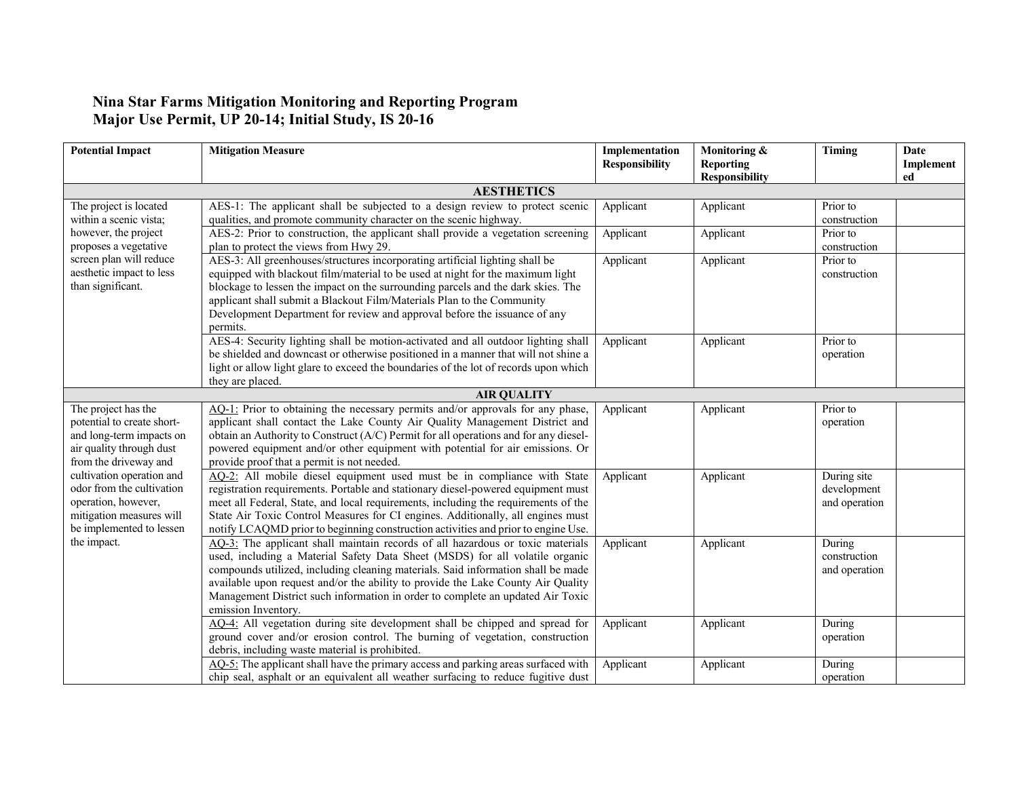## **Nina Star Farms Mitigation Monitoring and Reporting Program Major Use Permit, UP 20-14; Initial Study, IS 20-16**

| <b>Potential Impact</b>                                                                                                               | <b>Mitigation Measure</b>                                                                                                                                                                                                                                                                                                                                                                                                                       | Implementation<br><b>Responsibility</b> | Monitoring &<br><b>Reporting</b><br><b>Responsibility</b> | Timing                                      | Date<br>Implement<br>ed |
|---------------------------------------------------------------------------------------------------------------------------------------|-------------------------------------------------------------------------------------------------------------------------------------------------------------------------------------------------------------------------------------------------------------------------------------------------------------------------------------------------------------------------------------------------------------------------------------------------|-----------------------------------------|-----------------------------------------------------------|---------------------------------------------|-------------------------|
|                                                                                                                                       | <b>AESTHETICS</b>                                                                                                                                                                                                                                                                                                                                                                                                                               |                                         |                                                           |                                             |                         |
| The project is located<br>within a scenic vista;                                                                                      | AES-1: The applicant shall be subjected to a design review to protect scenic<br>qualities, and promote community character on the scenic highway.                                                                                                                                                                                                                                                                                               | Applicant                               | Applicant                                                 | Prior to<br>construction                    |                         |
| however, the project<br>proposes a vegetative                                                                                         | AES-2: Prior to construction, the applicant shall provide a vegetation screening<br>plan to protect the views from Hwy 29.                                                                                                                                                                                                                                                                                                                      | Applicant                               | Applicant                                                 | Prior to<br>construction                    |                         |
| screen plan will reduce<br>aesthetic impact to less<br>than significant.                                                              | AES-3: All greenhouses/structures incorporating artificial lighting shall be<br>equipped with blackout film/material to be used at night for the maximum light<br>blockage to lessen the impact on the surrounding parcels and the dark skies. The<br>applicant shall submit a Blackout Film/Materials Plan to the Community<br>Development Department for review and approval before the issuance of any<br>permits.                           | Applicant                               | Applicant                                                 | Prior to<br>construction                    |                         |
|                                                                                                                                       | AES-4: Security lighting shall be motion-activated and all outdoor lighting shall<br>be shielded and downcast or otherwise positioned in a manner that will not shine a<br>light or allow light glare to exceed the boundaries of the lot of records upon which<br>they are placed.                                                                                                                                                             | Applicant                               | Applicant                                                 | Prior to<br>operation                       |                         |
|                                                                                                                                       | <b>AIR QUALITY</b>                                                                                                                                                                                                                                                                                                                                                                                                                              |                                         |                                                           |                                             |                         |
| The project has the<br>potential to create short-<br>and long-term impacts on<br>air quality through dust<br>from the driveway and    | AQ-1: Prior to obtaining the necessary permits and/or approvals for any phase,<br>applicant shall contact the Lake County Air Quality Management District and<br>obtain an Authority to Construct (A/C) Permit for all operations and for any diesel-<br>powered equipment and/or other equipment with potential for air emissions. Or<br>provide proof that a permit is not needed.                                                            | Applicant                               | Applicant                                                 | Prior to<br>operation                       |                         |
| cultivation operation and<br>odor from the cultivation<br>operation, however,<br>mitigation measures will<br>be implemented to lessen | AQ-2: All mobile diesel equipment used must be in compliance with State<br>registration requirements. Portable and stationary diesel-powered equipment must<br>meet all Federal, State, and local requirements, including the requirements of the<br>State Air Toxic Control Measures for CI engines. Additionally, all engines must<br>notify LCAQMD prior to beginning construction activities and prior to engine Use.                       | Applicant                               | Applicant                                                 | During site<br>development<br>and operation |                         |
| the impact.                                                                                                                           | AQ-3: The applicant shall maintain records of all hazardous or toxic materials<br>used, including a Material Safety Data Sheet (MSDS) for all volatile organic<br>compounds utilized, including cleaning materials. Said information shall be made<br>available upon request and/or the ability to provide the Lake County Air Quality<br>Management District such information in order to complete an updated Air Toxic<br>emission Inventory. | Applicant                               | Applicant                                                 | During<br>construction<br>and operation     |                         |
|                                                                                                                                       | AQ-4: All vegetation during site development shall be chipped and spread for<br>ground cover and/or erosion control. The burning of vegetation, construction<br>debris, including waste material is prohibited.                                                                                                                                                                                                                                 | Applicant                               | Applicant                                                 | During<br>operation                         |                         |
|                                                                                                                                       | AQ-5: The applicant shall have the primary access and parking areas surfaced with<br>chip seal, asphalt or an equivalent all weather surfacing to reduce fugitive dust                                                                                                                                                                                                                                                                          | Applicant                               | Applicant                                                 | During<br>operation                         |                         |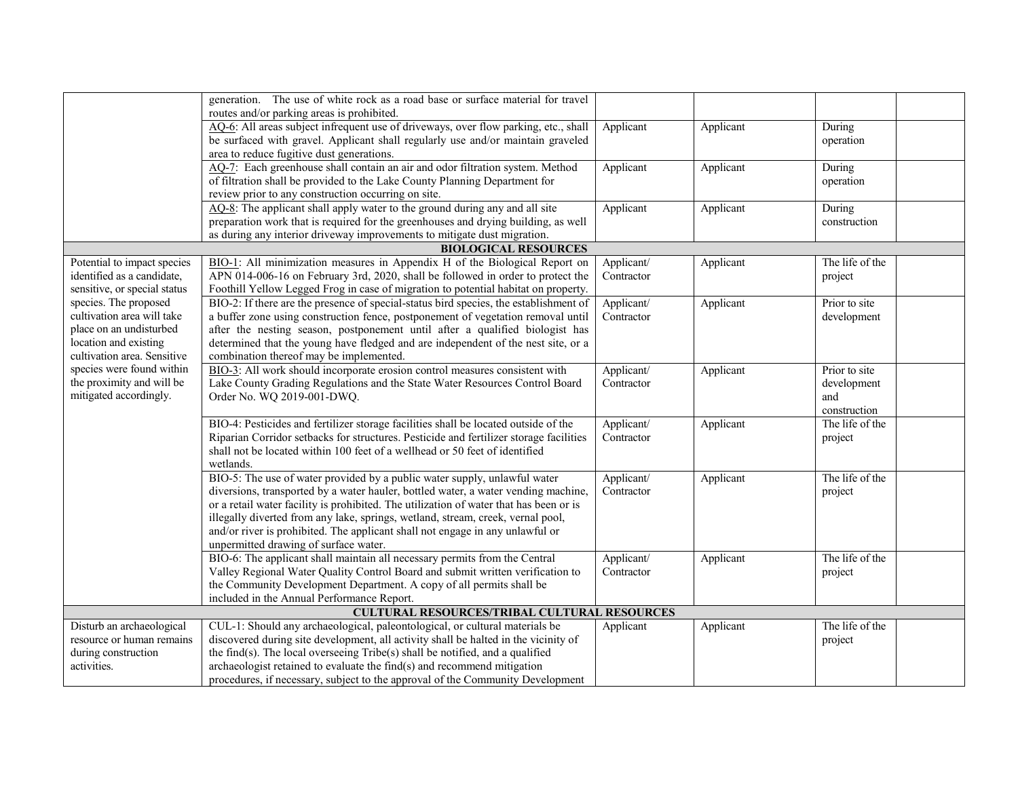|                              | generation. The use of white rock as a road base or surface material for travel        |            |           |                 |
|------------------------------|----------------------------------------------------------------------------------------|------------|-----------|-----------------|
|                              | routes and/or parking areas is prohibited.                                             |            |           |                 |
|                              | AQ-6: All areas subject infrequent use of driveways, over flow parking, etc., shall    | Applicant  | Applicant | During          |
|                              | be surfaced with gravel. Applicant shall regularly use and/or maintain graveled        |            |           | operation       |
|                              | area to reduce fugitive dust generations.                                              |            |           |                 |
|                              | AQ-7: Each greenhouse shall contain an air and odor filtration system. Method          | Applicant  | Applicant | During          |
|                              | of filtration shall be provided to the Lake County Planning Department for             |            |           | operation       |
|                              | review prior to any construction occurring on site.                                    |            |           |                 |
|                              | AQ-8: The applicant shall apply water to the ground during any and all site            | Applicant  | Applicant | During          |
|                              | preparation work that is required for the greenhouses and drying building, as well     |            |           | construction    |
|                              | as during any interior driveway improvements to mitigate dust migration.               |            |           |                 |
|                              | <b>BIOLOGICAL RESOURCES</b>                                                            |            |           |                 |
| Potential to impact species  | BIO-1: All minimization measures in Appendix H of the Biological Report on             | Applicant/ | Applicant | The life of the |
| identified as a candidate,   | APN 014-006-16 on February 3rd, 2020, shall be followed in order to protect the        | Contractor |           | project         |
| sensitive, or special status | Foothill Yellow Legged Frog in case of migration to potential habitat on property.     |            |           |                 |
| species. The proposed        | BIO-2: If there are the presence of special-status bird species, the establishment of  | Applicant/ | Applicant | Prior to site   |
| cultivation area will take   | a buffer zone using construction fence, postponement of vegetation removal until       | Contractor |           | development     |
| place on an undisturbed      | after the nesting season, postponement until after a qualified biologist has           |            |           |                 |
| location and existing        | determined that the young have fledged and are independent of the nest site, or a      |            |           |                 |
| cultivation area. Sensitive  | combination thereof may be implemented.                                                |            |           |                 |
| species were found within    | BIO-3: All work should incorporate erosion control measures consistent with            | Applicant/ | Applicant | Prior to site   |
| the proximity and will be    | Lake County Grading Regulations and the State Water Resources Control Board            | Contractor |           | development     |
| mitigated accordingly.       | Order No. WQ 2019-001-DWQ.                                                             |            |           | and             |
|                              |                                                                                        |            |           | construction    |
|                              | BIO-4: Pesticides and fertilizer storage facilities shall be located outside of the    | Applicant/ | Applicant | The life of the |
|                              | Riparian Corridor setbacks for structures. Pesticide and fertilizer storage facilities | Contractor |           | project         |
|                              | shall not be located within 100 feet of a wellhead or 50 feet of identified            |            |           |                 |
|                              | wetlands.                                                                              |            |           |                 |
|                              | BIO-5: The use of water provided by a public water supply, unlawful water              | Applicant/ | Applicant | The life of the |
|                              | diversions, transported by a water hauler, bottled water, a water vending machine,     | Contractor |           | project         |
|                              | or a retail water facility is prohibited. The utilization of water that has been or is |            |           |                 |
|                              | illegally diverted from any lake, springs, wetland, stream, creek, vernal pool,        |            |           |                 |
|                              | and/or river is prohibited. The applicant shall not engage in any unlawful or          |            |           |                 |
|                              | unpermitted drawing of surface water.                                                  |            |           |                 |
|                              | BIO-6: The applicant shall maintain all necessary permits from the Central             | Applicant/ | Applicant | The life of the |
|                              | Valley Regional Water Quality Control Board and submit written verification to         | Contractor |           | project         |
|                              | the Community Development Department. A copy of all permits shall be                   |            |           |                 |
|                              | included in the Annual Performance Report.                                             |            |           |                 |
|                              | <b>CULTURAL RESOURCES/TRIBAL CULTURAL RESOURCES</b>                                    |            |           |                 |
| Disturb an archaeological    | CUL-1: Should any archaeological, paleontological, or cultural materials be            | Applicant  | Applicant | The life of the |
| resource or human remains    | discovered during site development, all activity shall be halted in the vicinity of    |            |           | project         |
| during construction          | the find(s). The local overseeing Tribe(s) shall be notified, and a qualified          |            |           |                 |
| activities.                  | archaeologist retained to evaluate the find(s) and recommend mitigation                |            |           |                 |
|                              | procedures, if necessary, subject to the approval of the Community Development         |            |           |                 |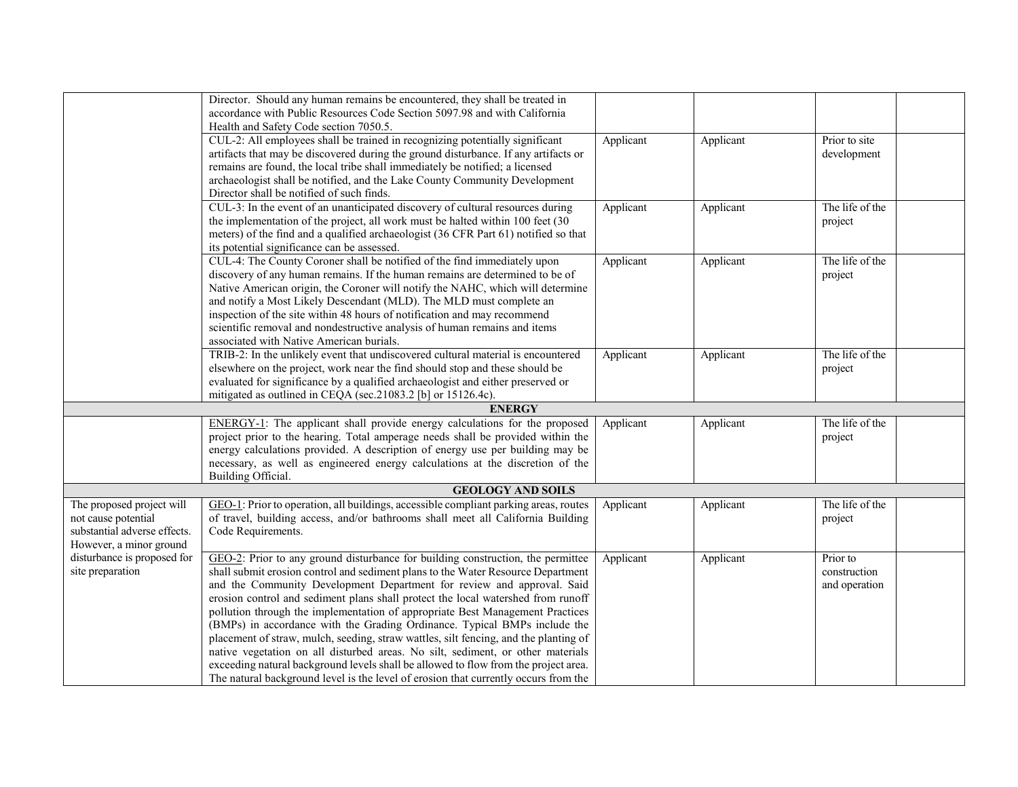|                              | Director. Should any human remains be encountered, they shall be treated in<br>accordance with Public Resources Code Section 5097.98 and with California |           |           |                 |
|------------------------------|----------------------------------------------------------------------------------------------------------------------------------------------------------|-----------|-----------|-----------------|
|                              | Health and Safety Code section 7050.5.                                                                                                                   |           |           |                 |
|                              | CUL-2: All employees shall be trained in recognizing potentially significant                                                                             | Applicant | Applicant | Prior to site   |
|                              | artifacts that may be discovered during the ground disturbance. If any artifacts or                                                                      |           |           | development     |
|                              | remains are found, the local tribe shall immediately be notified; a licensed                                                                             |           |           |                 |
|                              | archaeologist shall be notified, and the Lake County Community Development                                                                               |           |           |                 |
|                              | Director shall be notified of such finds.                                                                                                                |           |           |                 |
|                              | CUL-3: In the event of an unanticipated discovery of cultural resources during                                                                           | Applicant | Applicant | The life of the |
|                              | the implementation of the project, all work must be halted within 100 feet (30                                                                           |           |           | project         |
|                              | meters) of the find and a qualified archaeologist (36 CFR Part 61) notified so that                                                                      |           |           |                 |
|                              | its potential significance can be assessed.                                                                                                              |           |           |                 |
|                              | CUL-4: The County Coroner shall be notified of the find immediately upon                                                                                 | Applicant | Applicant | The life of the |
|                              | discovery of any human remains. If the human remains are determined to be of                                                                             |           |           | project         |
|                              | Native American origin, the Coroner will notify the NAHC, which will determine                                                                           |           |           |                 |
|                              | and notify a Most Likely Descendant (MLD). The MLD must complete an                                                                                      |           |           |                 |
|                              | inspection of the site within 48 hours of notification and may recommend                                                                                 |           |           |                 |
|                              | scientific removal and nondestructive analysis of human remains and items                                                                                |           |           |                 |
|                              | associated with Native American burials.                                                                                                                 |           |           |                 |
|                              | TRIB-2: In the unlikely event that undiscovered cultural material is encountered                                                                         | Applicant | Applicant | The life of the |
|                              | elsewhere on the project, work near the find should stop and these should be                                                                             |           |           | project         |
|                              | evaluated for significance by a qualified archaeologist and either preserved or                                                                          |           |           |                 |
|                              | mitigated as outlined in CEQA (sec.21083.2 [b] or 15126.4c).                                                                                             |           |           |                 |
|                              | <b>ENERGY</b>                                                                                                                                            |           |           |                 |
|                              | ENERGY-1: The applicant shall provide energy calculations for the proposed                                                                               | Applicant | Applicant | The life of the |
|                              | project prior to the hearing. Total amperage needs shall be provided within the                                                                          |           |           | project         |
|                              | energy calculations provided. A description of energy use per building may be                                                                            |           |           |                 |
|                              | necessary, as well as engineered energy calculations at the discretion of the                                                                            |           |           |                 |
|                              | Building Official.                                                                                                                                       |           |           |                 |
|                              | <b>GEOLOGY AND SOILS</b>                                                                                                                                 |           |           |                 |
| The proposed project will    | GEO-1: Prior to operation, all buildings, accessible compliant parking areas, routes                                                                     | Applicant | Applicant | The life of the |
| not cause potential          | of travel, building access, and/or bathrooms shall meet all California Building                                                                          |           |           | project         |
| substantial adverse effects. | Code Requirements.                                                                                                                                       |           |           |                 |
| However, a minor ground      |                                                                                                                                                          |           |           |                 |
| disturbance is proposed for  | GEO-2: Prior to any ground disturbance for building construction, the permittee                                                                          | Applicant | Applicant | Prior to        |
| site preparation             | shall submit erosion control and sediment plans to the Water Resource Department                                                                         |           |           | construction    |
|                              | and the Community Development Department for review and approval. Said                                                                                   |           |           | and operation   |
|                              | erosion control and sediment plans shall protect the local watershed from runoff                                                                         |           |           |                 |
|                              | pollution through the implementation of appropriate Best Management Practices                                                                            |           |           |                 |
|                              | (BMPs) in accordance with the Grading Ordinance. Typical BMPs include the                                                                                |           |           |                 |
|                              | placement of straw, mulch, seeding, straw wattles, silt fencing, and the planting of                                                                     |           |           |                 |
|                              | native vegetation on all disturbed areas. No silt, sediment, or other materials                                                                          |           |           |                 |
|                              | exceeding natural background levels shall be allowed to flow from the project area.                                                                      |           |           |                 |
|                              | The natural background level is the level of erosion that currently occurs from the                                                                      |           |           |                 |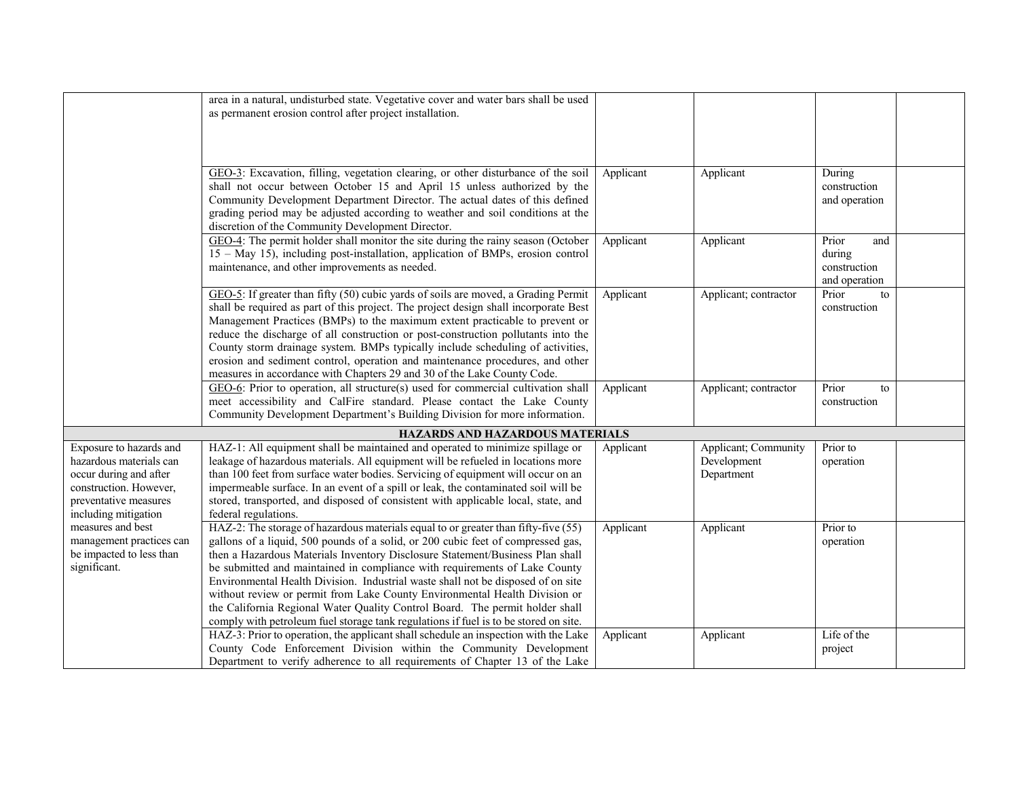|                                                                                                                                                                                                                                                      | area in a natural, undisturbed state. Vegetative cover and water bars shall be used<br>as permanent erosion control after project installation.                                                                                                                                                                                                                                                                                                                                                                                                                                                                                                                                 |           |                                                   |                                                         |  |
|------------------------------------------------------------------------------------------------------------------------------------------------------------------------------------------------------------------------------------------------------|---------------------------------------------------------------------------------------------------------------------------------------------------------------------------------------------------------------------------------------------------------------------------------------------------------------------------------------------------------------------------------------------------------------------------------------------------------------------------------------------------------------------------------------------------------------------------------------------------------------------------------------------------------------------------------|-----------|---------------------------------------------------|---------------------------------------------------------|--|
|                                                                                                                                                                                                                                                      | GEO-3: Excavation, filling, vegetation clearing, or other disturbance of the soil                                                                                                                                                                                                                                                                                                                                                                                                                                                                                                                                                                                               | Applicant | Applicant                                         | During                                                  |  |
|                                                                                                                                                                                                                                                      | shall not occur between October 15 and April 15 unless authorized by the<br>Community Development Department Director. The actual dates of this defined<br>grading period may be adjusted according to weather and soil conditions at the<br>discretion of the Community Development Director.                                                                                                                                                                                                                                                                                                                                                                                  |           |                                                   | construction<br>and operation                           |  |
|                                                                                                                                                                                                                                                      | GEO-4: The permit holder shall monitor the site during the rainy season (October<br>15 - May 15), including post-installation, application of BMPs, erosion control<br>maintenance, and other improvements as needed.                                                                                                                                                                                                                                                                                                                                                                                                                                                           | Applicant | Applicant                                         | Prior<br>and<br>during<br>construction<br>and operation |  |
|                                                                                                                                                                                                                                                      | GEO-5: If greater than fifty (50) cubic yards of soils are moved, a Grading Permit<br>shall be required as part of this project. The project design shall incorporate Best<br>Management Practices (BMPs) to the maximum extent practicable to prevent or<br>reduce the discharge of all construction or post-construction pollutants into the<br>County storm drainage system. BMPs typically include scheduling of activities,<br>erosion and sediment control, operation and maintenance procedures, and other<br>measures in accordance with Chapters 29 and 30 of the Lake County Code.                                                                                    | Applicant | Applicant; contractor                             | Prior<br>to<br>construction                             |  |
|                                                                                                                                                                                                                                                      | GEO-6: Prior to operation, all structure(s) used for commercial cultivation shall<br>meet accessibility and CalFire standard. Please contact the Lake County<br>Community Development Department's Building Division for more information.                                                                                                                                                                                                                                                                                                                                                                                                                                      | Applicant | Applicant; contractor                             | Prior<br>to<br>construction                             |  |
|                                                                                                                                                                                                                                                      | HAZARDS AND HAZARDOUS MATERIALS                                                                                                                                                                                                                                                                                                                                                                                                                                                                                                                                                                                                                                                 |           |                                                   |                                                         |  |
| Exposure to hazards and<br>hazardous materials can<br>occur during and after<br>construction. However,<br>preventative measures<br>including mitigation<br>measures and best<br>management practices can<br>be impacted to less than<br>significant. | HAZ-1: All equipment shall be maintained and operated to minimize spillage or<br>leakage of hazardous materials. All equipment will be refueled in locations more<br>than 100 feet from surface water bodies. Servicing of equipment will occur on an<br>impermeable surface. In an event of a spill or leak, the contaminated soil will be<br>stored, transported, and disposed of consistent with applicable local, state, and<br>federal regulations.                                                                                                                                                                                                                        | Applicant | Applicant; Community<br>Development<br>Department | Prior to<br>operation                                   |  |
|                                                                                                                                                                                                                                                      | HAZ-2: The storage of hazardous materials equal to or greater than fifty-five (55)<br>gallons of a liquid, 500 pounds of a solid, or 200 cubic feet of compressed gas,<br>then a Hazardous Materials Inventory Disclosure Statement/Business Plan shall<br>be submitted and maintained in compliance with requirements of Lake County<br>Environmental Health Division. Industrial waste shall not be disposed of on site<br>without review or permit from Lake County Environmental Health Division or<br>the California Regional Water Quality Control Board. The permit holder shall<br>comply with petroleum fuel storage tank regulations if fuel is to be stored on site. | Applicant | Applicant                                         | Prior to<br>operation                                   |  |
|                                                                                                                                                                                                                                                      | HAZ-3: Prior to operation, the applicant shall schedule an inspection with the Lake<br>County Code Enforcement Division within the Community Development<br>Department to verify adherence to all requirements of Chapter 13 of the Lake                                                                                                                                                                                                                                                                                                                                                                                                                                        | Applicant | Applicant                                         | Life of the<br>project                                  |  |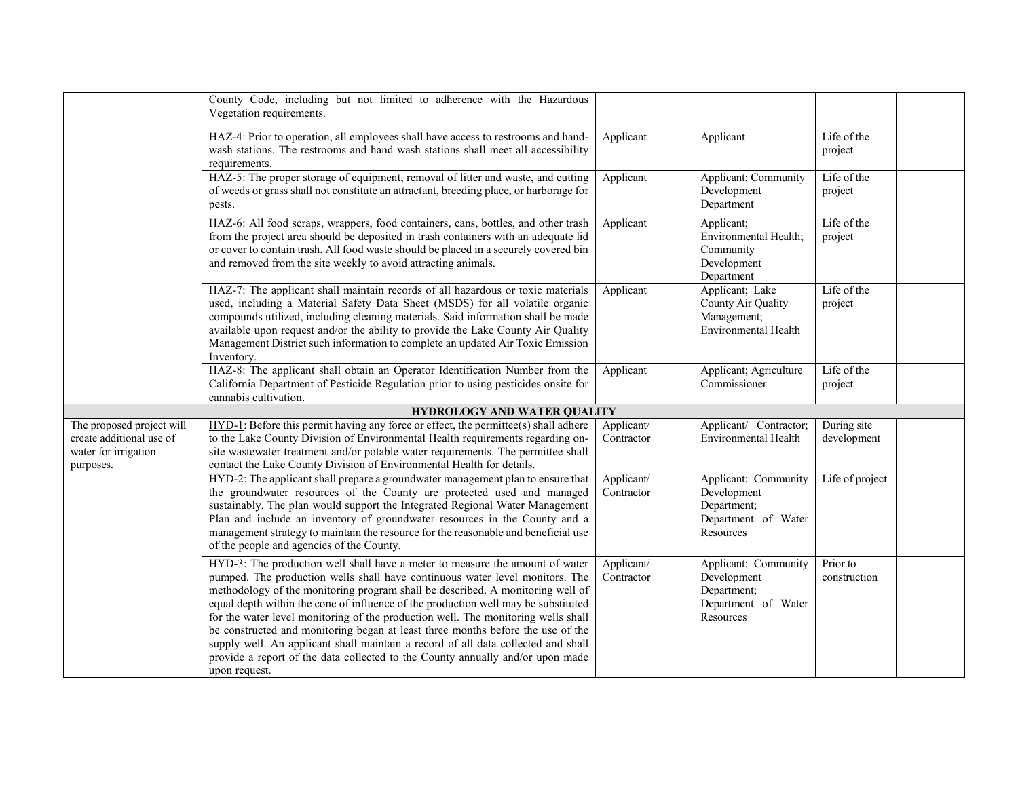|                                                                                            | County Code, including but not limited to adherence with the Hazardous<br>Vegetation requirements.                                                                                                                                                                                                                                                                                                                                                                                                                                                                                                                                                                                                   |                          |                                                                                        |                            |  |
|--------------------------------------------------------------------------------------------|------------------------------------------------------------------------------------------------------------------------------------------------------------------------------------------------------------------------------------------------------------------------------------------------------------------------------------------------------------------------------------------------------------------------------------------------------------------------------------------------------------------------------------------------------------------------------------------------------------------------------------------------------------------------------------------------------|--------------------------|----------------------------------------------------------------------------------------|----------------------------|--|
|                                                                                            | HAZ-4: Prior to operation, all employees shall have access to restrooms and hand-<br>wash stations. The restrooms and hand wash stations shall meet all accessibility<br>requirements.                                                                                                                                                                                                                                                                                                                                                                                                                                                                                                               | Applicant                | Applicant                                                                              | Life of the<br>project     |  |
|                                                                                            | HAZ-5: The proper storage of equipment, removal of litter and waste, and cutting<br>of weeds or grass shall not constitute an attractant, breeding place, or harborage for<br>pests.                                                                                                                                                                                                                                                                                                                                                                                                                                                                                                                 | Applicant                | Applicant; Community<br>Development<br>Department                                      | Life of the<br>project     |  |
|                                                                                            | HAZ-6: All food scraps, wrappers, food containers, cans, bottles, and other trash<br>from the project area should be deposited in trash containers with an adequate lid<br>or cover to contain trash. All food waste should be placed in a securely covered bin<br>and removed from the site weekly to avoid attracting animals.                                                                                                                                                                                                                                                                                                                                                                     | Applicant                | Applicant;<br>Environmental Health;<br>Community<br>Development<br>Department          | Life of the<br>project     |  |
|                                                                                            | HAZ-7: The applicant shall maintain records of all hazardous or toxic materials<br>used, including a Material Safety Data Sheet (MSDS) for all volatile organic<br>compounds utilized, including cleaning materials. Said information shall be made<br>available upon request and/or the ability to provide the Lake County Air Quality<br>Management District such information to complete an updated Air Toxic Emission<br>Inventory.                                                                                                                                                                                                                                                              | Applicant                | Applicant; Lake<br>County Air Quality<br>Management;<br><b>Environmental Health</b>    | Life of the<br>project     |  |
|                                                                                            | HAZ-8: The applicant shall obtain an Operator Identification Number from the<br>California Department of Pesticide Regulation prior to using pesticides onsite for<br>cannabis cultivation.                                                                                                                                                                                                                                                                                                                                                                                                                                                                                                          | Applicant                | Applicant; Agriculture<br>Commissioner                                                 | Life of the<br>project     |  |
|                                                                                            | HYDROLOGY AND WATER QUALITY                                                                                                                                                                                                                                                                                                                                                                                                                                                                                                                                                                                                                                                                          |                          |                                                                                        |                            |  |
| The proposed project will<br>create additional use of<br>water for irrigation<br>purposes. | HYD-1: Before this permit having any force or effect, the permittee(s) shall adhere<br>to the Lake County Division of Environmental Health requirements regarding on-<br>site wastewater treatment and/or potable water requirements. The permittee shall<br>contact the Lake County Division of Environmental Health for details.                                                                                                                                                                                                                                                                                                                                                                   | Applicant/<br>Contractor | Applicant/ Contractor;<br><b>Environmental Health</b>                                  | During site<br>development |  |
|                                                                                            | HYD-2: The applicant shall prepare a groundwater management plan to ensure that<br>the groundwater resources of the County are protected used and managed<br>sustainably. The plan would support the Integrated Regional Water Management<br>Plan and include an inventory of groundwater resources in the County and a<br>management strategy to maintain the resource for the reasonable and beneficial use<br>of the people and agencies of the County.                                                                                                                                                                                                                                           | Applicant/<br>Contractor | Applicant; Community<br>Development<br>Department;<br>Department of Water<br>Resources | Life of project            |  |
|                                                                                            | HYD-3: The production well shall have a meter to measure the amount of water<br>pumped. The production wells shall have continuous water level monitors. The<br>methodology of the monitoring program shall be described. A monitoring well of<br>equal depth within the cone of influence of the production well may be substituted<br>for the water level monitoring of the production well. The monitoring wells shall<br>be constructed and monitoring began at least three months before the use of the<br>supply well. An applicant shall maintain a record of all data collected and shall<br>provide a report of the data collected to the County annually and/or upon made<br>upon request. | Applicant/<br>Contractor | Applicant; Community<br>Development<br>Department;<br>Department of Water<br>Resources | Prior to<br>construction   |  |